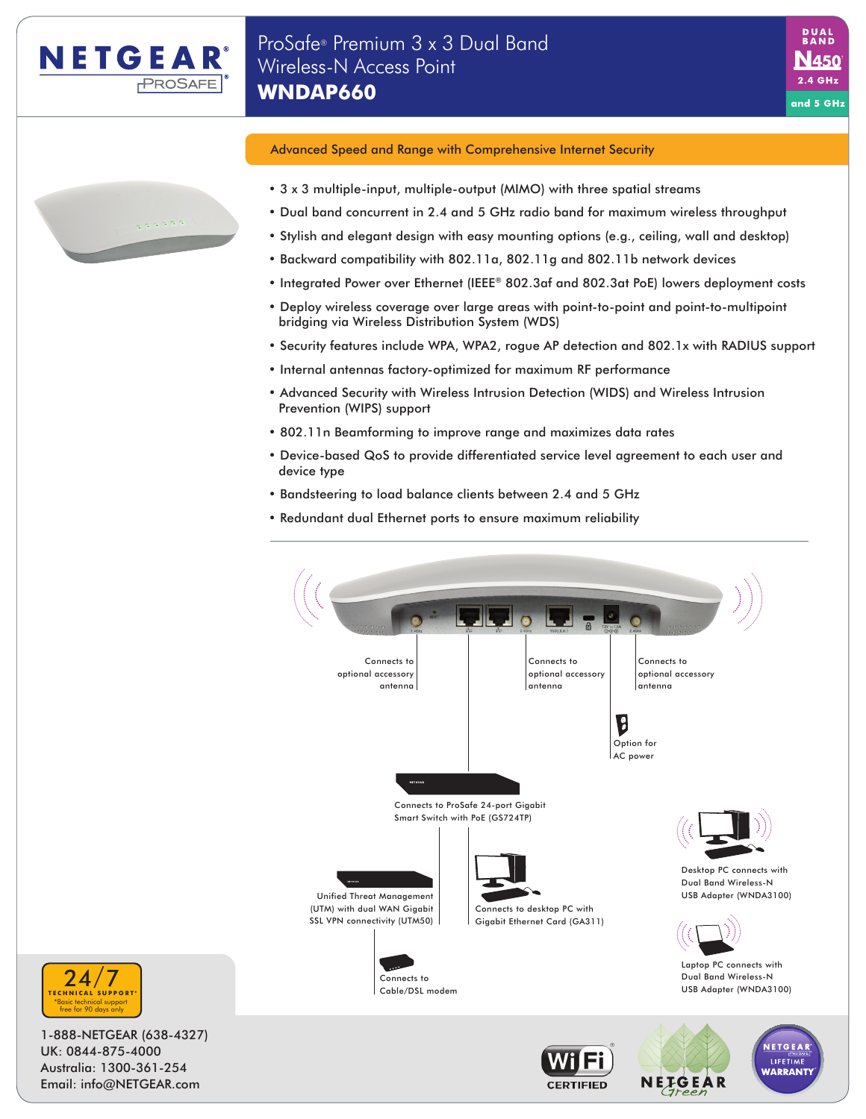

# Advanced Speed and Range with Comprehensive Internet Security

- 3 x 3 multiple-input, multiple-output (MIMO) with three spatial streams
- Dual band concurrent in 2.4 and 5 GHz radio band for maximum wireless throughput

N450  $2.4\text{ GHz}$ 

and 5 GHz

- Stylish and elegant design with easy mounting options (e.g., ceiling, wall and desktop)
- Backward compatibility with 802.11a, 802.11g and 802.11b network devices
- Integrated Power over Ethernet (IEEE® 802.3af and 802.3at PoE) lowers deployment costs
- Deploy wireless coverage over large areas with point-to-point and point-to-multipoint bridging via Wireless Distribution System (WDS)
- Security features include WPA, WPA2, rogue AP detection and 802.1x with RADIUS support
- Internal antennas factory-optimized for maximum RF performance
- Advanced Security with Wireless Intrusion Detection (WIDS) and Wireless Intrusion Prevention (WIPS) support
- 802.11n Beamforming to improve range and maximizes data rates
- Device-based QoS to provide differentiated service level agreement to each user and device type
- Bandsteering to load balance clients between 2.4 and 5 GHz
- Redundant dual Ethernet ports to ensure maximum reliability







1-888-NETGEAR (638-4327) UK: 0844-875-4000 Australia: 1300-361-254 Email: info@NETGEAR.com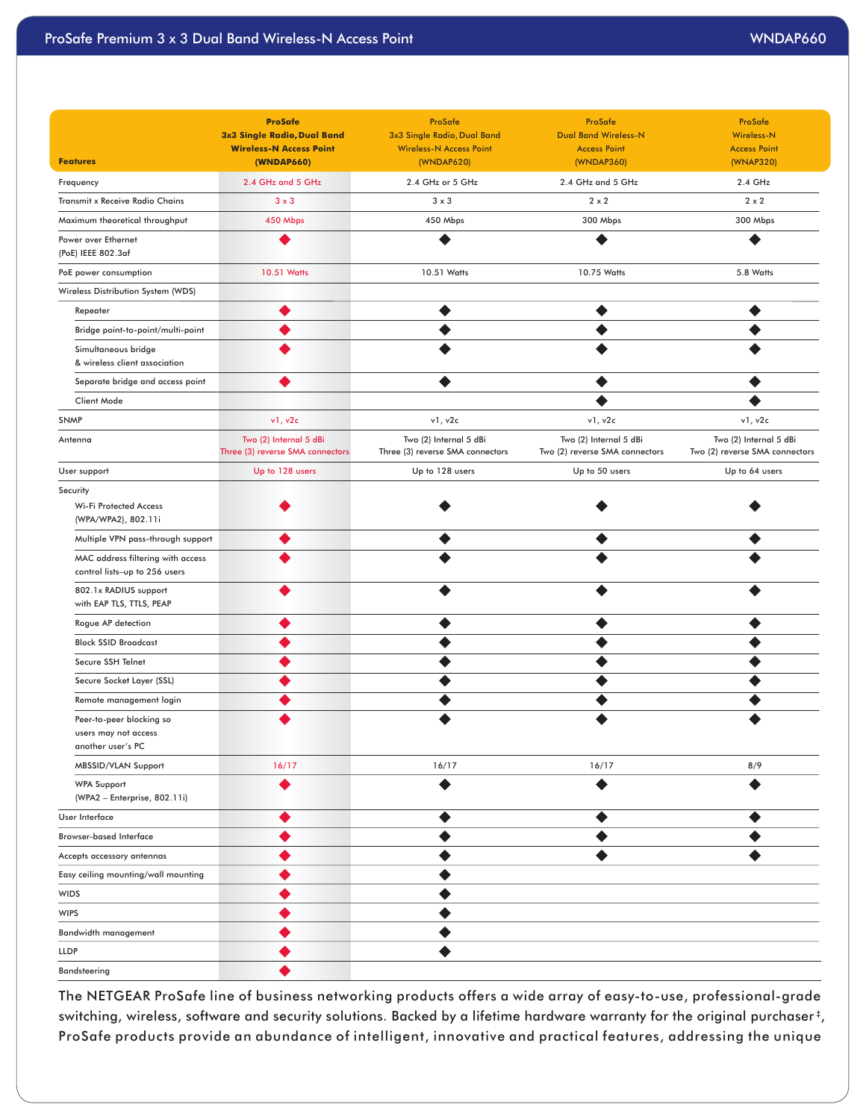|                                                                       | <b>ProSafe</b>                                                | ProSafe                                                       | ProSafe                                            | ProSafe                                  |
|-----------------------------------------------------------------------|---------------------------------------------------------------|---------------------------------------------------------------|----------------------------------------------------|------------------------------------------|
|                                                                       | 3x3 Single Radio, Dual Band<br><b>Wireless-N Access Point</b> | 3x3 Single Radio, Dual Band<br><b>Wireless-N Access Point</b> | <b>Dual Band Wireless-N</b><br><b>Access Point</b> | <b>Wireless-N</b><br><b>Access Point</b> |
| <b>Features</b>                                                       | (WNDAP660)                                                    | (WNDAP620)                                                    | (WNDAP360)                                         | (WNAP320)                                |
| Frequency                                                             | 2.4 GHz and 5 GHz                                             | 2.4 GHz or 5 GHz                                              | 2.4 GHz and 5 GHz                                  | 2.4 GHz                                  |
| Transmit x Receive Radio Chains                                       | $3 \times 3$                                                  | $3 \times 3$                                                  | $2 \times 2$                                       | $2 \times 2$                             |
| Maximum theoretical throughput                                        | 450 Mbps                                                      | 450 Mbps                                                      | 300 Mbps                                           | 300 Mbps                                 |
| Power over Ethernet                                                   | $\bullet$                                                     | $\bullet$                                                     | $\bullet$                                          | $\bullet$                                |
| (PoE) IEEE 802.3af                                                    |                                                               |                                                               |                                                    |                                          |
| PoE power consumption                                                 | 10.51 Watts                                                   | 10.51 Watts                                                   | 10.75 Watts                                        | 5.8 Watts                                |
| Wireless Distribution System (WDS)                                    |                                                               |                                                               |                                                    |                                          |
| Repeater                                                              | ◉                                                             | $\bullet$                                                     | $\bullet$                                          | $\bullet$                                |
| Bridge point-to-point/multi-point                                     | ◉                                                             | $\bullet$                                                     | $\bullet$                                          | ◉                                        |
| Simultaneous bridge<br>& wireless client association                  | $\bullet$                                                     | $\bullet$                                                     | $\bullet$                                          | $\bullet$                                |
| Separate bridge and access point                                      | $\bullet$                                                     | $\bullet$                                                     | $\bullet$                                          | $\bullet$                                |
| Client Mode                                                           |                                                               |                                                               | $\bullet$                                          | $\bullet$                                |
| <b>SNMP</b>                                                           | v1, v2c                                                       | v1, v2c                                                       | v1, v2c                                            | v1, v2c                                  |
| Antenna                                                               | Two (2) Internal 5 dBi                                        | Two (2) Internal 5 dBi                                        | Two (2) Internal 5 dBi                             | Two (2) Internal 5 dBi                   |
|                                                                       | Three (3) reverse SMA connectors                              | Three (3) reverse SMA connectors                              | Two (2) reverse SMA connectors                     | Two (2) reverse SMA connectors           |
| User support                                                          | Up to 128 users                                               | Up to 128 users                                               | Up to 50 users                                     | Up to 64 users                           |
| Security<br>Wi-Fi Protected Access<br>(WPA/WPA2), 802.11i             | ◉                                                             | $\bullet$                                                     | ◉                                                  | ◉                                        |
| Multiple VPN pass-through support                                     | $\bullet$                                                     | $\bullet$                                                     | $\bullet$                                          | $\bullet$                                |
| MAC address filtering with access<br>control lists-up to 256 users    | $\bullet$                                                     | $\bullet$                                                     | $\bullet$                                          | $\bullet$                                |
| 802.1x RADIUS support<br>with EAP TLS, TTLS, PEAP                     | $\bullet$                                                     | $\bullet$                                                     | $\bullet$                                          | $\bullet$                                |
| Rogue AP detection                                                    | $\bullet$                                                     | $\bullet$                                                     | $\bullet$                                          | $\bullet$                                |
| <b>Block SSID Broadcast</b>                                           | ◉                                                             | $\bullet$                                                     | $\bullet$                                          | $\bullet$                                |
| Secure SSH Telnet                                                     | $\bullet$                                                     | $\bullet$                                                     | $\bullet$                                          | $\bullet$                                |
| Secure Socket Layer (SSL)                                             | $\bullet$                                                     | $\bullet$                                                     | $\bullet$                                          | $\bullet$                                |
| Remote management login                                               | $\bullet$                                                     | $\bullet$                                                     | $\bullet$                                          | $\bullet$                                |
| Peer-to-peer blocking so<br>users may not access<br>another user's PC | ◉                                                             | $\bullet$                                                     | $\bullet$                                          | ◉                                        |
| MBSSID/VLAN Support                                                   | 16/17                                                         | 16/17                                                         | 16/17                                              | 8/9                                      |
| <b>WPA Support</b><br>(WPA2 - Enterprise, 802.11i)                    | $\bullet$                                                     | $\bullet$                                                     | $\bullet$                                          | $\bullet$                                |
| User Interface                                                        | $\bullet$                                                     | $\bullet$                                                     | $\bullet$                                          | $\bullet$                                |
| <b>Browser-based Interface</b>                                        | $\bullet$                                                     | $\bullet$                                                     | $\bullet$                                          | $\bullet$                                |
| Accepts accessory antennas                                            | $\bullet$                                                     | $\bullet$                                                     | $\bullet$                                          | $\bullet$                                |
| Easy ceiling mounting/wall mounting                                   | ◉                                                             | $\bullet$                                                     |                                                    |                                          |
| WIDS                                                                  | $\bullet$                                                     | $\bullet$                                                     |                                                    |                                          |
| <b>WIPS</b>                                                           | $\bullet$                                                     | $\bullet$                                                     |                                                    |                                          |
| Bandwidth management                                                  | $\bullet$                                                     | $\bullet$                                                     |                                                    |                                          |
| <b>LLDP</b>                                                           | $\bullet$                                                     | $\bullet$                                                     |                                                    |                                          |
| Bandsteering                                                          | $\bullet$                                                     |                                                               |                                                    |                                          |

The NETGEAR ProSafe line of business networking products offers a wide array of easy-to-use, professional-grade switching, wireless, software and security solutions. Backed by a lifetime hardware warranty for the original purchaser ‡ , ProSafe products provide an abundance of intelligent, innovative and practical features, addressing the unique